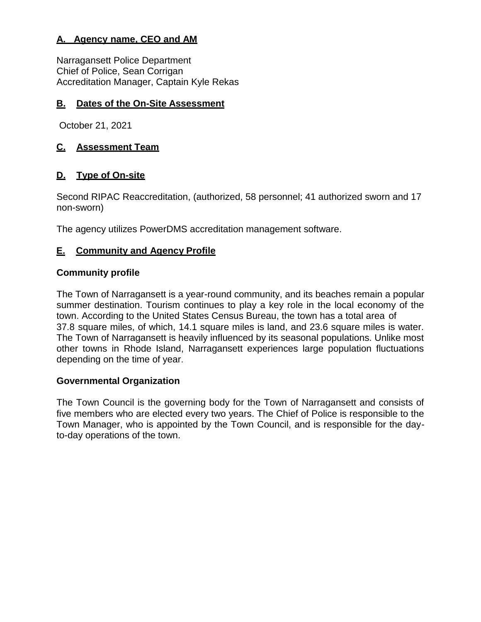# **A. Agency name, CEO and AM**

Narragansett Police Department Chief of Police, Sean Corrigan Accreditation Manager, Captain Kyle Rekas

# **B. Dates of the On-Site Assessment**

October 21, 2021

# **C. Assessment Team**

# **D. Type of On-site**

Second RIPAC Reaccreditation, (authorized, 58 personnel; 41 authorized sworn and 17 non-sworn)

The agency utilizes PowerDMS accreditation management software.

# **E. Community and Agency Profile**

# **Community profile**

The Town of Narragansett is a year-round community, and its beaches remain a popular summer destination. Tourism continues to play a key role in the local economy of the town. According to the United States Census Bureau, the town has a total area of 37.8 square miles, of which, 14.1 square miles is land, and 23.6 square miles is water. The Town of Narragansett is heavily influenced by its seasonal populations. Unlike most other towns in Rhode Island, Narragansett experiences large population fluctuations depending on the time of year.

# **Governmental Organization**

The Town Council is the governing body for the Town of Narragansett and consists of five members who are elected every two years. The Chief of Police is responsible to the Town Manager, who is appointed by the Town Council, and is responsible for the dayto-day operations of the town.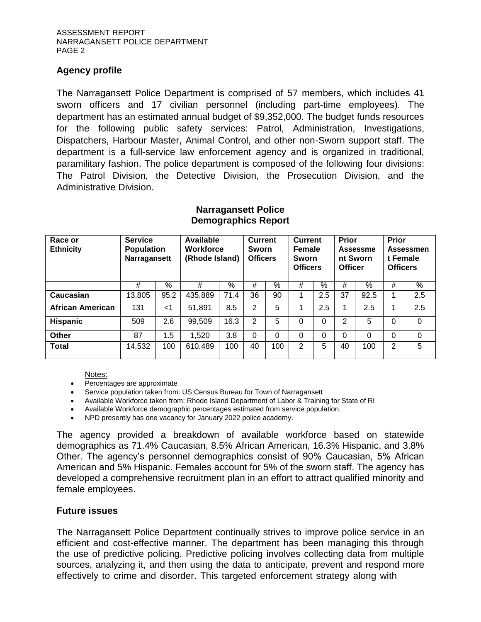#### **Agency profile**

The Narragansett Police Department is comprised of 57 members, which includes 41 sworn officers and 17 civilian personnel (including part-time employees). The department has an estimated annual budget of \$9,352,000. The budget funds resources for the following public safety services: Patrol, Administration, Investigations, Dispatchers, Harbour Master, Animal Control, and other non-Sworn support staff. The department is a full-service law enforcement agency and is organized in traditional, paramilitary fashion. The police department is composed of the following four divisions: The Patrol Division, the Detective Division, the Prosecution Division, and the Administrative Division.

| Race or<br><b>Ethnicity</b> | <b>Service</b><br><b>Population</b><br>Narragansett |       | Available<br><b>Workforce</b><br>(Rhode Island) |                 | <b>Current</b><br>Sworn<br><b>Officers</b> |            | <b>Current</b><br><b>Female</b><br>Sworn<br><b>Officers</b> |                 | <b>Prior</b><br><b>Officer</b> | Assessme<br>nt Sworn | <b>Prior</b><br>t Female<br><b>Officers</b> | Assessmen |
|-----------------------------|-----------------------------------------------------|-------|-------------------------------------------------|-----------------|--------------------------------------------|------------|-------------------------------------------------------------|-----------------|--------------------------------|----------------------|---------------------------------------------|-----------|
|                             | #                                                   | $\%$  | #                                               | $\overline{\%}$ | #                                          | $\sqrt{2}$ | #                                                           | $\overline{\%}$ | #                              | $\sqrt{2}$           | #                                           | %         |
| Caucasian                   | 13,805                                              | 95.2  | 435,889                                         | 71.4            | 36                                         | 90         |                                                             | 2.5             | 37                             | 92.5                 |                                             | 2.5       |
| <b>African American</b>     | 131                                                 | $<$ 1 | 51,891                                          | 8.5             | 2                                          | 5          |                                                             | 2.5             |                                | 2.5                  |                                             | 2.5       |
| <b>Hispanic</b>             | 509                                                 | 2.6   | 99,509                                          | 16.3            | 2                                          | 5          | 0                                                           | $\Omega$        | 2                              | 5                    | 0                                           | $\Omega$  |
| Other                       | 87                                                  | 1.5   | 1,520                                           | 3.8             | $\Omega$                                   | 0          | 0                                                           | $\Omega$        | $\Omega$                       | 0                    | $\Omega$                                    | 0         |
| <b>Total</b>                | 14,532                                              | 100   | 610,489                                         | 100             | 40                                         | 100        | 2                                                           | 5               | 40                             | 100                  | 2                                           | 5         |

#### **Narragansett Police Demographics Report**

Notes:

- Percentages are approximate
- Service population taken from: US Census Bureau for Town of Narragansett
- Available Workforce taken from: Rhode Island Department of Labor & Training for State of RI
- Available Workforce demographic percentages estimated from service population.
- NPD presently has one vacancy for January 2022 police academy.

The agency provided a breakdown of available workforce based on statewide demographics as 71.4% Caucasian, 8.5% African American, 16.3% Hispanic, and 3.8% Other. The agency's personnel demographics consist of 90% Caucasian, 5% African American and 5% Hispanic. Females account for 5% of the sworn staff. The agency has developed a comprehensive recruitment plan in an effort to attract qualified minority and female employees.

# **Future issues**

The Narragansett Police Department continually strives to improve police service in an efficient and cost-effective manner. The department has been managing this through the use of predictive policing. Predictive policing involves collecting data from multiple sources, analyzing it, and then using the data to anticipate, prevent and respond more effectively to crime and disorder. This targeted enforcement strategy along with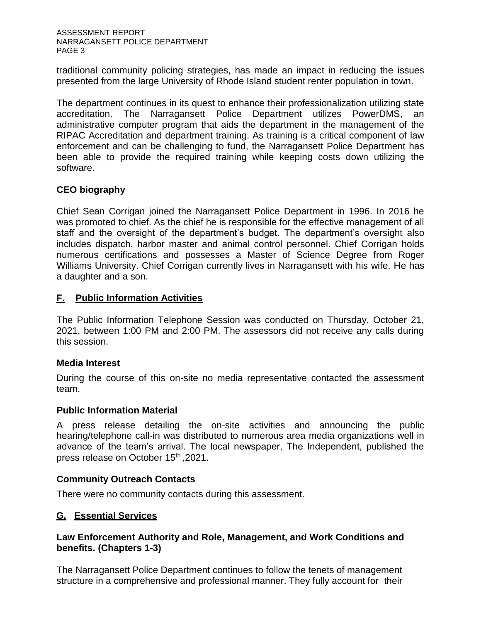traditional community policing strategies, has made an impact in reducing the issues presented from the large University of Rhode Island student renter population in town.

The department continues in its quest to enhance their professionalization utilizing state accreditation. The Narragansett Police Department utilizes PowerDMS, an administrative computer program that aids the department in the management of the RIPAC Accreditation and department training. As training is a critical component of law enforcement and can be challenging to fund, the Narragansett Police Department has been able to provide the required training while keeping costs down utilizing the software.

# **CEO biography**

Chief Sean Corrigan joined the Narragansett Police Department in 1996. In 2016 he was promoted to chief. As the chief he is responsible for the effective management of all staff and the oversight of the department's budget. The department's oversight also includes dispatch, harbor master and animal control personnel. Chief Corrigan holds numerous certifications and possesses a Master of Science Degree from Roger Williams University. Chief Corrigan currently lives in Narragansett with his wife. He has a daughter and a son.

# **F. Public Information Activities**

The Public Information Telephone Session was conducted on Thursday, October 21, 2021, between 1:00 PM and 2:00 PM. The assessors did not receive any calls during this session.

# **Media Interest**

During the course of this on-site no media representative contacted the assessment team.

# **Public Information Material**

A press release detailing the on-site activities and announcing the public hearing/telephone call-in was distributed to numerous area media organizations well in advance of the team's arrival. The local newspaper, The Independent, published the press release on October 15<sup>th</sup>, 2021.

# **Community Outreach Contacts**

There were no community contacts during this assessment.

# **G. Essential Services**

# **Law Enforcement Authority and Role, Management, and Work Conditions and benefits. (Chapters 1-3)**

The Narragansett Police Department continues to follow the tenets of management structure in a comprehensive and professional manner. They fully account for their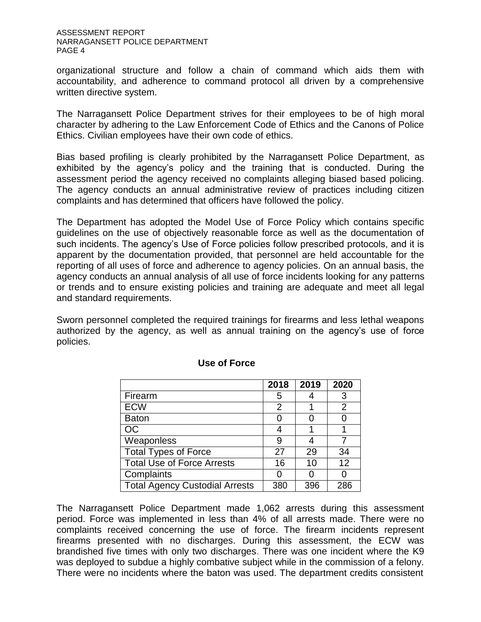organizational structure and follow a chain of command which aids them with accountability, and adherence to command protocol all driven by a comprehensive written directive system.

The Narragansett Police Department strives for their employees to be of high moral character by adhering to the Law Enforcement Code of Ethics and the Canons of Police Ethics. Civilian employees have their own code of ethics.

Bias based profiling is clearly prohibited by the Narragansett Police Department, as exhibited by the agency's policy and the training that is conducted. During the assessment period the agency received no complaints alleging biased based policing. The agency conducts an annual administrative review of practices including citizen complaints and has determined that officers have followed the policy.

The Department has adopted the Model Use of Force Policy which contains specific guidelines on the use of objectively reasonable force as well as the documentation of such incidents. The agency's Use of Force policies follow prescribed protocols, and it is apparent by the documentation provided, that personnel are held accountable for the reporting of all uses of force and adherence to agency policies. On an annual basis, the agency conducts an annual analysis of all use of force incidents looking for any patterns or trends and to ensure existing policies and training are adequate and meet all legal and standard requirements.

Sworn personnel completed the required trainings for firearms and less lethal weapons authorized by the agency, as well as annual training on the agency's use of force policies.

|                                       | 2018 | 2019 | 2020 |
|---------------------------------------|------|------|------|
| Firearm                               | 5    |      | 3    |
| <b>ECW</b>                            | 2    |      | 2    |
| <b>Baton</b>                          |      |      |      |
| <b>OC</b>                             |      |      |      |
| Weaponless                            | 9    |      |      |
| <b>Total Types of Force</b>           | 27   | 29   | 34   |
| <b>Total Use of Force Arrests</b>     | 16   | 10   | 12   |
| Complaints                            |      |      |      |
| <b>Total Agency Custodial Arrests</b> | 380  | 396  | 286  |

# **Use of Force**

The Narragansett Police Department made 1,062 arrests during this assessment period. Force was implemented in less than 4% of all arrests made. There were no complaints received concerning the use of force. The firearm incidents represent firearms presented with no discharges. During this assessment, the ECW was brandished five times with only two discharges. There was one incident where the K9 was deployed to subdue a highly combative subject while in the commission of a felony. There were no incidents where the baton was used. The department credits consistent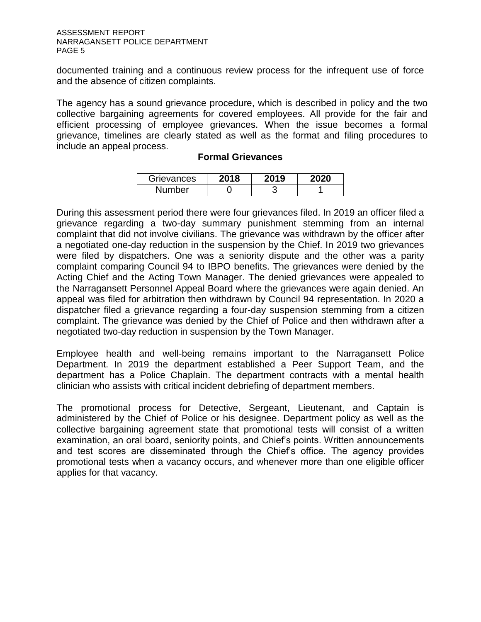documented training and a continuous review process for the infrequent use of force and the absence of citizen complaints.

The agency has a sound grievance procedure, which is described in policy and the two collective bargaining agreements for covered employees. All provide for the fair and efficient processing of employee grievances. When the issue becomes a formal grievance, timelines are clearly stated as well as the format and filing procedures to include an appeal process.

#### **Formal Grievances**

| Grievances    | 2019 | 2020 |
|---------------|------|------|
| <b>Number</b> |      |      |

During this assessment period there were four grievances filed. In 2019 an officer filed a grievance regarding a two-day summary punishment stemming from an internal complaint that did not involve civilians. The grievance was withdrawn by the officer after a negotiated one-day reduction in the suspension by the Chief. In 2019 two grievances were filed by dispatchers. One was a seniority dispute and the other was a parity complaint comparing Council 94 to IBPO benefits. The grievances were denied by the Acting Chief and the Acting Town Manager. The denied grievances were appealed to the Narragansett Personnel Appeal Board where the grievances were again denied. An appeal was filed for arbitration then withdrawn by Council 94 representation. In 2020 a dispatcher filed a grievance regarding a four-day suspension stemming from a citizen complaint. The grievance was denied by the Chief of Police and then withdrawn after a negotiated two-day reduction in suspension by the Town Manager.

Employee health and well-being remains important to the Narragansett Police Department. In 2019 the department established a Peer Support Team, and the department has a Police Chaplain. The department contracts with a mental health clinician who assists with critical incident debriefing of department members.

The promotional process for Detective, Sergeant, Lieutenant, and Captain is administered by the Chief of Police or his designee. Department policy as well as the collective bargaining agreement state that promotional tests will consist of a written examination, an oral board, seniority points, and Chief's points. Written announcements and test scores are disseminated through the Chief's office. The agency provides promotional tests when a vacancy occurs, and whenever more than one eligible officer applies for that vacancy.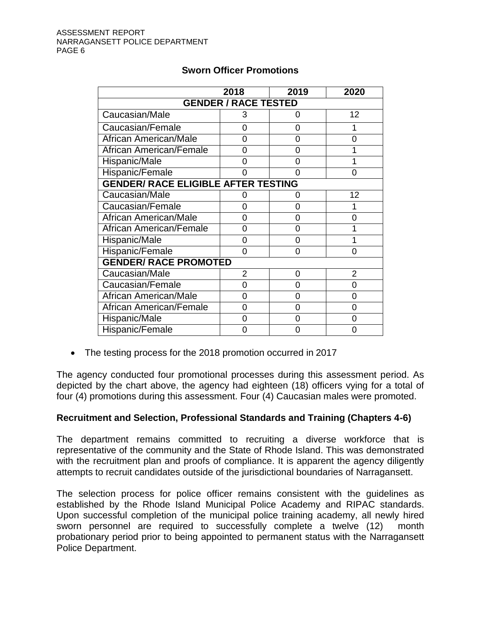|                                            | 2018                        | 2019 | 2020 |  |  |
|--------------------------------------------|-----------------------------|------|------|--|--|
|                                            | <b>GENDER / RACE TESTED</b> |      |      |  |  |
| Caucasian/Male                             | 3                           | ი    | 12   |  |  |
| Caucasian/Female                           | ი                           | 0    |      |  |  |
| <b>African American/Male</b>               | 0                           | 0    | O    |  |  |
| African American/Female                    | 0                           | 0    |      |  |  |
| Hispanic/Male                              | ი                           | ი    |      |  |  |
| <b>Hispanic/Female</b>                     | ი                           | ი    | 0    |  |  |
| <b>GENDER/ RACE ELIGIBLE AFTER TESTING</b> |                             |      |      |  |  |
| Caucasian/Male                             | ი                           | 0    | 12   |  |  |
| Caucasian/Female                           | 0                           | 0    |      |  |  |
| African American/Male                      | ი                           | 0    | U    |  |  |
| African American/Female                    | ი                           | 0    |      |  |  |
| Hispanic/Male                              | 0                           | 0    |      |  |  |
| Hispanic/Female                            | 0                           | 0    | O    |  |  |
| <b>GENDER/ RACE PROMOTED</b>               |                             |      |      |  |  |
| Caucasian/Male                             | 2                           | 0    | 2    |  |  |
| Caucasian/Female                           | 0                           | 0    | ∩    |  |  |
| <b>African American/Male</b>               | 0                           | 0    | 0    |  |  |
| <b>African American/Female</b>             | 0                           | 0    | 0    |  |  |
| Hispanic/Male                              | 0                           | ი    |      |  |  |
| Hispanic/Female                            |                             | N    |      |  |  |

# **Sworn Officer Promotions**

• The testing process for the 2018 promotion occurred in 2017

The agency conducted four promotional processes during this assessment period. As depicted by the chart above, the agency had eighteen (18) officers vying for a total of four (4) promotions during this assessment. Four (4) Caucasian males were promoted.

# **Recruitment and Selection, Professional Standards and Training (Chapters 4-6)**

The department remains committed to recruiting a diverse workforce that is representative of the community and the State of Rhode Island. This was demonstrated with the recruitment plan and proofs of compliance. It is apparent the agency diligently attempts to recruit candidates outside of the jurisdictional boundaries of Narragansett.

The selection process for police officer remains consistent with the guidelines as established by the Rhode Island Municipal Police Academy and RIPAC standards. Upon successful completion of the municipal police training academy, all newly hired sworn personnel are required to successfully complete a twelve (12) month probationary period prior to being appointed to permanent status with the Narragansett Police Department.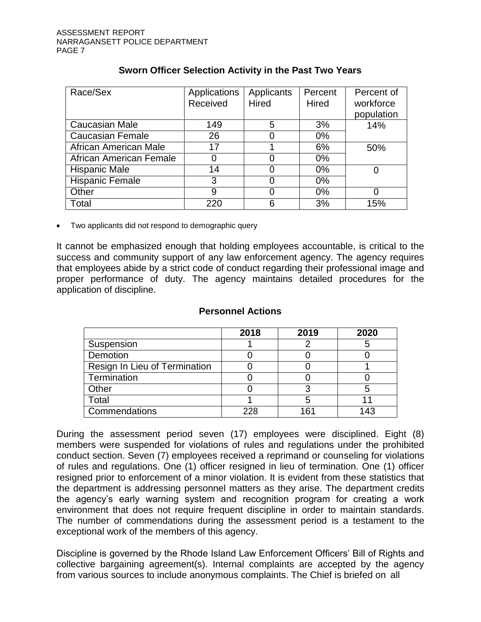| Race/Sex                | Applications | Applicants   | Percent      | Percent of |
|-------------------------|--------------|--------------|--------------|------------|
|                         | Received     | <b>Hired</b> | <b>Hired</b> | workforce  |
|                         |              |              |              | population |
| Caucasian Male          | 149          | 5            | 3%           | 14%        |
| <b>Caucasian Female</b> | 26           |              | $0\%$        |            |
| African American Male   | 17           |              | 6%           | 50%        |
| African American Female | 0            |              | $0\%$        |            |
| <b>Hispanic Male</b>    | 14           |              | $0\%$        |            |
| Hispanic Female         | 3            |              | $0\%$        |            |
| Other                   | 9            |              | $0\%$        |            |
| Total                   | 220          | 6            | 3%           | 15%        |

# **Sworn Officer Selection Activity in the Past Two Years**

• Two applicants did not respond to demographic query

It cannot be emphasized enough that holding employees accountable, is critical to the success and community support of any law enforcement agency. The agency requires that employees abide by a strict code of conduct regarding their professional image and proper performance of duty. The agency maintains detailed procedures for the application of discipline.

|                               | 2018 | 2019 | 2020 |
|-------------------------------|------|------|------|
| Suspension                    |      |      |      |
| Demotion                      |      |      |      |
| Resign In Lieu of Termination |      |      |      |
| Termination                   |      |      |      |
| Other                         |      |      |      |
| Total                         |      |      |      |
| Commendations                 | 228  | 161  | 43   |

#### **Personnel Actions**

During the assessment period seven (17) employees were disciplined. Eight (8) members were suspended for violations of rules and regulations under the prohibited conduct section. Seven (7) employees received a reprimand or counseling for violations of rules and regulations. One (1) officer resigned in lieu of termination. One (1) officer resigned prior to enforcement of a minor violation. It is evident from these statistics that the department is addressing personnel matters as they arise. The department credits the agency's early warning system and recognition program for creating a work environment that does not require frequent discipline in order to maintain standards. The number of commendations during the assessment period is a testament to the exceptional work of the members of this agency.

Discipline is governed by the Rhode Island Law Enforcement Officers' Bill of Rights and collective bargaining agreement(s). Internal complaints are accepted by the agency from various sources to include anonymous complaints. The Chief is briefed on all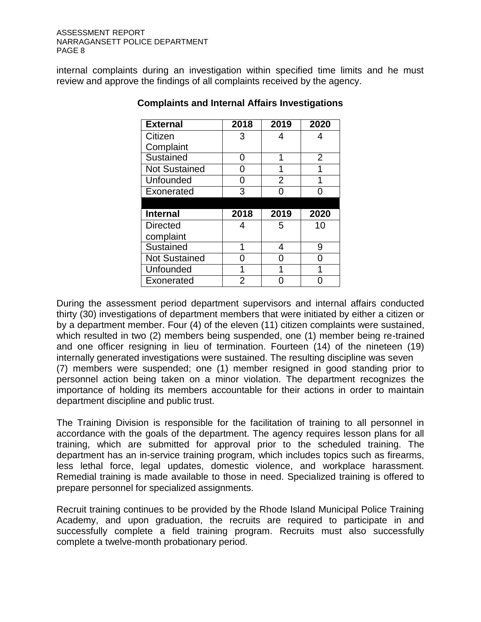internal complaints during an investigation within specified time limits and he must review and approve the findings of all complaints received by the agency.

| <b>External</b>      | 2018 | 2019           | 2020           |
|----------------------|------|----------------|----------------|
| Citizen              | 3    |                |                |
| Complaint            |      |                |                |
| Sustained            | ი    | 4              | $\overline{2}$ |
| <b>Not Sustained</b> | 0    |                |                |
| Unfounded            | 0    | $\overline{2}$ |                |
| Exonerated           | 3    |                |                |
|                      |      |                |                |
| <b>Internal</b>      |      | 2019           |                |
|                      | 2018 |                | 2020           |
| <b>Directed</b>      | 4    | 5              | 10             |
| complaint            |      |                |                |
| Sustained            | 1    | 4              | 9              |
| <b>Not Sustained</b> |      |                |                |
| Unfounded            | 1    | 4              |                |

# **Complaints and Internal Affairs Investigations**

During the assessment period department supervisors and internal affairs conducted thirty (30) investigations of department members that were initiated by either a citizen or by a department member. Four (4) of the eleven (11) citizen complaints were sustained, which resulted in two (2) members being suspended, one (1) member being re-trained and one officer resigning in lieu of termination. Fourteen (14) of the nineteen (19) internally generated investigations were sustained. The resulting discipline was seven (7) members were suspended; one (1) member resigned in good standing prior to personnel action being taken on a minor violation. The department recognizes the importance of holding its members accountable for their actions in order to maintain department discipline and public trust.

The Training Division is responsible for the facilitation of training to all personnel in accordance with the goals of the department. The agency requires lesson plans for all training, which are submitted for approval prior to the scheduled training. The department has an in-service training program, which includes topics such as firearms, less lethal force, legal updates, domestic violence, and workplace harassment. Remedial training is made available to those in need. Specialized training is offered to prepare personnel for specialized assignments.

Recruit training continues to be provided by the Rhode Island Municipal Police Training Academy, and upon graduation, the recruits are required to participate in and successfully complete a field training program. Recruits must also successfully complete a twelve-month probationary period.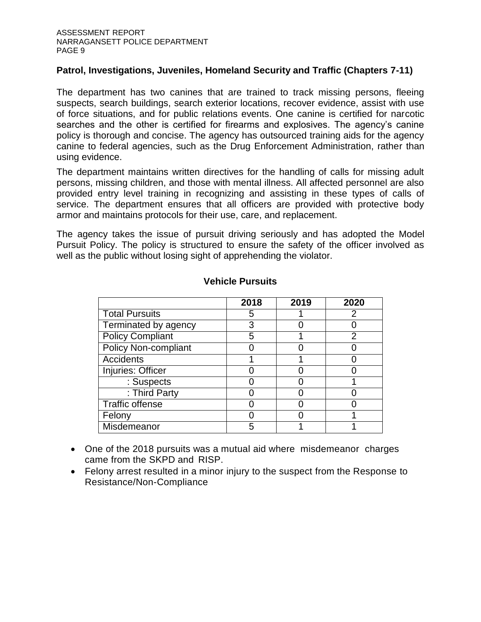#### **Patrol, Investigations, Juveniles, Homeland Security and Traffic (Chapters 7-11)**

The department has two canines that are trained to track missing persons, fleeing suspects, search buildings, search exterior locations, recover evidence, assist with use of force situations, and for public relations events. One canine is certified for narcotic searches and the other is certified for firearms and explosives. The agency's canine policy is thorough and concise. The agency has outsourced training aids for the agency canine to federal agencies, such as the Drug Enforcement Administration, rather than using evidence.

The department maintains written directives for the handling of calls for missing adult persons, missing children, and those with mental illness. All affected personnel are also provided entry level training in recognizing and assisting in these types of calls of service. The department ensures that all officers are provided with protective body armor and maintains protocols for their use, care, and replacement.

The agency takes the issue of pursuit driving seriously and has adopted the Model Pursuit Policy. The policy is structured to ensure the safety of the officer involved as well as the public without losing sight of apprehending the violator.

|                             | 2018 | 2019 | 2020 |
|-----------------------------|------|------|------|
| <b>Total Pursuits</b>       | 5    |      | 2    |
| Terminated by agency        | 3    |      |      |
| <b>Policy Compliant</b>     | 5    |      |      |
| <b>Policy Non-compliant</b> |      |      |      |
| Accidents                   |      |      |      |
| Injuries: Officer           |      |      |      |
| : Suspects                  |      |      |      |
| : Third Party               |      |      |      |
| <b>Traffic offense</b>      |      |      |      |
| Felony                      |      |      |      |
| Misdemeanor                 | 5    |      |      |

#### **Vehicle Pursuits**

- One of the 2018 pursuits was a mutual aid where misdemeanor charges came from the SKPD and RISP.
- Felony arrest resulted in a minor injury to the suspect from the Response to Resistance/Non-Compliance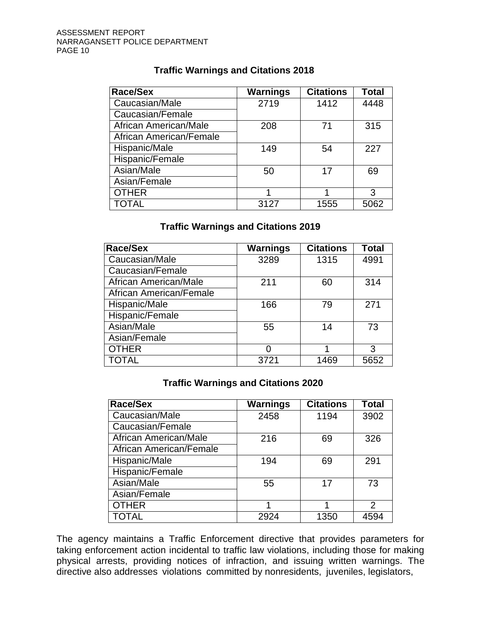# **Traffic Warnings and Citations 2018**

| Race/Sex                | <b>Warnings</b> | <b>Citations</b> | Total |
|-------------------------|-----------------|------------------|-------|
| Caucasian/Male          | 2719            | 1412             | 4448  |
| Caucasian/Female        |                 |                  |       |
| African American/Male   | 208             | 71               | 315   |
| African American/Female |                 |                  |       |
| Hispanic/Male           | 149             | 54               | 227   |
| Hispanic/Female         |                 |                  |       |
| Asian/Male              | 50              | 17               | 69    |
| Asian/Female            |                 |                  |       |
| <b>OTHER</b>            |                 |                  | 3     |
| <b>TOTAL</b>            | 3127            | 1555             | 5062  |

# **Traffic Warnings and Citations 2019**

| Race/Sex                | <b>Warnings</b> | <b>Citations</b> | Total |
|-------------------------|-----------------|------------------|-------|
| Caucasian/Male          | 3289            | 1315             | 4991  |
| Caucasian/Female        |                 |                  |       |
| African American/Male   | 211             | 60               | 314   |
| African American/Female |                 |                  |       |
| Hispanic/Male           | 166             | 79               | 271   |
| Hispanic/Female         |                 |                  |       |
| Asian/Male              | 55              | 14               | 73    |
| Asian/Female            |                 |                  |       |
| <b>OTHER</b>            | O               |                  | 3     |
| TOTAL                   | 3721            | 1469             | 5652  |

# **Traffic Warnings and Citations 2020**

| Race/Sex                | <b>Warnings</b> | <b>Citations</b> | Total |
|-------------------------|-----------------|------------------|-------|
| Caucasian/Male          | 2458            | 1194             | 3902  |
| Caucasian/Female        |                 |                  |       |
| African American/Male   | 216             | 69               | 326   |
| African American/Female |                 |                  |       |
| Hispanic/Male           | 194             | 69               | 291   |
| Hispanic/Female         |                 |                  |       |
| Asian/Male              | 55              | 17               | 73    |
| Asian/Female            |                 |                  |       |
| <b>OTHER</b>            |                 |                  | 2     |
| <b>TOTAL</b>            | 2924            | 1350             | 4594  |

The agency maintains a Traffic Enforcement directive that provides parameters for taking enforcement action incidental to traffic law violations, including those for making physical arrests, providing notices of infraction, and issuing written warnings. The directive also addresses violations committed by nonresidents, juveniles, legislators,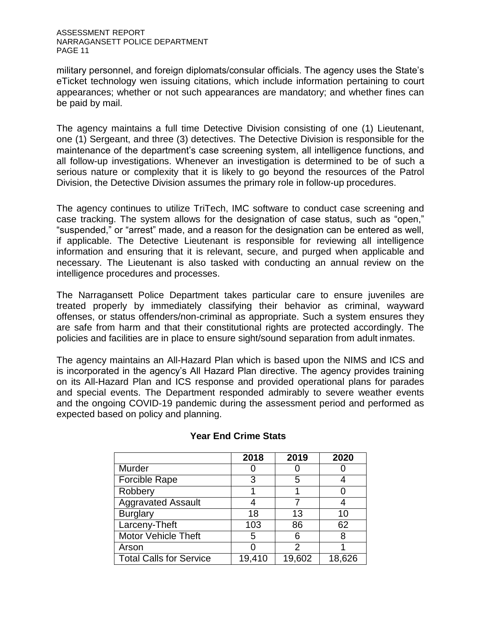military personnel, and foreign diplomats/consular officials. The agency uses the State's eTicket technology wen issuing citations, which include information pertaining to court appearances; whether or not such appearances are mandatory; and whether fines can be paid by mail.

The agency maintains a full time Detective Division consisting of one (1) Lieutenant, one (1) Sergeant, and three (3) detectives. The Detective Division is responsible for the maintenance of the department's case screening system, all intelligence functions, and all follow-up investigations. Whenever an investigation is determined to be of such a serious nature or complexity that it is likely to go beyond the resources of the Patrol Division, the Detective Division assumes the primary role in follow-up procedures.

The agency continues to utilize TriTech, IMC software to conduct case screening and case tracking. The system allows for the designation of case status, such as "open," "suspended," or "arrest" made, and a reason for the designation can be entered as well, if applicable. The Detective Lieutenant is responsible for reviewing all intelligence information and ensuring that it is relevant, secure, and purged when applicable and necessary. The Lieutenant is also tasked with conducting an annual review on the intelligence procedures and processes.

The Narragansett Police Department takes particular care to ensure juveniles are treated properly by immediately classifying their behavior as criminal, wayward offenses, or status offenders/non-criminal as appropriate. Such a system ensures they are safe from harm and that their constitutional rights are protected accordingly. The policies and facilities are in place to ensure sight/sound separation from adult inmates.

The agency maintains an All-Hazard Plan which is based upon the NIMS and ICS and is incorporated in the agency's All Hazard Plan directive. The agency provides training on its All-Hazard Plan and ICS response and provided operational plans for parades and special events. The Department responded admirably to severe weather events and the ongoing COVID-19 pandemic during the assessment period and performed as expected based on policy and planning.

|                                | 2018   | 2019   | 2020   |
|--------------------------------|--------|--------|--------|
| Murder                         |        |        |        |
| Forcible Rape                  | 3      | 5      |        |
| Robbery                        |        |        |        |
| <b>Aggravated Assault</b>      |        |        |        |
| <b>Burglary</b>                | 18     | 13     | 10     |
| Larceny-Theft                  | 103    | 86     | 62     |
| <b>Motor Vehicle Theft</b>     | 5      | 6      | 8      |
| Arson                          |        | 2      |        |
| <b>Total Calls for Service</b> | 19,410 | 19,602 | 18.626 |

# **Year End Crime Stats**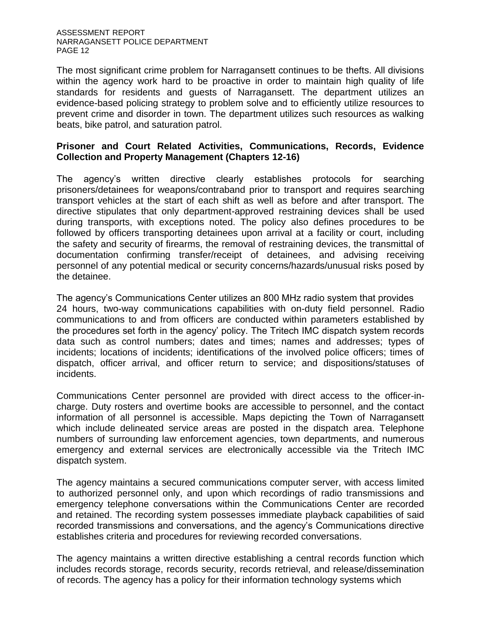The most significant crime problem for Narragansett continues to be thefts. All divisions within the agency work hard to be proactive in order to maintain high quality of life standards for residents and guests of Narragansett. The department utilizes an evidence-based policing strategy to problem solve and to efficiently utilize resources to prevent crime and disorder in town. The department utilizes such resources as walking beats, bike patrol, and saturation patrol.

# **Prisoner and Court Related Activities, Communications, Records, Evidence Collection and Property Management (Chapters 12-16)**

The agency's written directive clearly establishes protocols for searching prisoners/detainees for weapons/contraband prior to transport and requires searching transport vehicles at the start of each shift as well as before and after transport. The directive stipulates that only department-approved restraining devices shall be used during transports, with exceptions noted. The policy also defines procedures to be followed by officers transporting detainees upon arrival at a facility or court, including the safety and security of firearms, the removal of restraining devices, the transmittal of documentation confirming transfer/receipt of detainees, and advising receiving personnel of any potential medical or security concerns/hazards/unusual risks posed by the detainee.

The agency's Communications Center utilizes an 800 MHz radio system that provides 24 hours, two-way communications capabilities with on-duty field personnel. Radio communications to and from officers are conducted within parameters established by the procedures set forth in the agency' policy. The Tritech IMC dispatch system records data such as control numbers; dates and times; names and addresses; types of incidents; locations of incidents; identifications of the involved police officers; times of dispatch, officer arrival, and officer return to service; and dispositions/statuses of incidents.

Communications Center personnel are provided with direct access to the officer-incharge. Duty rosters and overtime books are accessible to personnel, and the contact information of all personnel is accessible. Maps depicting the Town of Narragansett which include delineated service areas are posted in the dispatch area. Telephone numbers of surrounding law enforcement agencies, town departments, and numerous emergency and external services are electronically accessible via the Tritech IMC dispatch system.

The agency maintains a secured communications computer server, with access limited to authorized personnel only, and upon which recordings of radio transmissions and emergency telephone conversations within the Communications Center are recorded and retained. The recording system possesses immediate playback capabilities of said recorded transmissions and conversations, and the agency's Communications directive establishes criteria and procedures for reviewing recorded conversations.

The agency maintains a written directive establishing a central records function which includes records storage, records security, records retrieval, and release/dissemination of records. The agency has a policy for their information technology systems which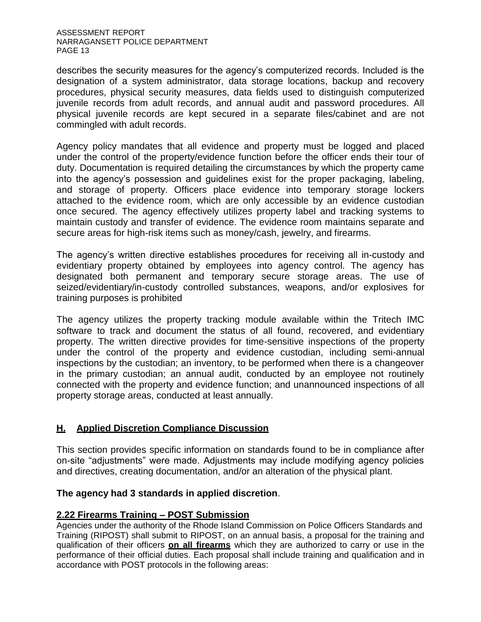describes the security measures for the agency's computerized records. Included is the designation of a system administrator, data storage locations, backup and recovery procedures, physical security measures, data fields used to distinguish computerized juvenile records from adult records, and annual audit and password procedures. All physical juvenile records are kept secured in a separate files/cabinet and are not commingled with adult records.

Agency policy mandates that all evidence and property must be logged and placed under the control of the property/evidence function before the officer ends their tour of duty. Documentation is required detailing the circumstances by which the property came into the agency's possession and guidelines exist for the proper packaging, labeling, and storage of property. Officers place evidence into temporary storage lockers attached to the evidence room, which are only accessible by an evidence custodian once secured. The agency effectively utilizes property label and tracking systems to maintain custody and transfer of evidence. The evidence room maintains separate and secure areas for high-risk items such as money/cash, jewelry, and firearms.

The agency's written directive establishes procedures for receiving all in-custody and evidentiary property obtained by employees into agency control. The agency has designated both permanent and temporary secure storage areas. The use of seized/evidentiary/in-custody controlled substances, weapons, and/or explosives for training purposes is prohibited

The agency utilizes the property tracking module available within the Tritech IMC software to track and document the status of all found, recovered, and evidentiary property. The written directive provides for time-sensitive inspections of the property under the control of the property and evidence custodian, including semi-annual inspections by the custodian; an inventory, to be performed when there is a changeover in the primary custodian; an annual audit, conducted by an employee not routinely connected with the property and evidence function; and unannounced inspections of all property storage areas, conducted at least annually.

# **H. Applied Discretion Compliance Discussion**

This section provides specific information on standards found to be in compliance after on-site "adjustments" were made. Adjustments may include modifying agency policies and directives, creating documentation, and/or an alteration of the physical plant.

# **The agency had 3 standards in applied discretion**.

# **2.22 Firearms Training – POST Submission**

Agencies under the authority of the Rhode Island Commission on Police Officers Standards and Training (RIPOST) shall submit to RIPOST, on an annual basis, a proposal for the training and qualification of their officers **on all firearms** which they are authorized to carry or use in the performance of their official duties. Each proposal shall include training and qualification and in accordance with POST protocols in the following areas: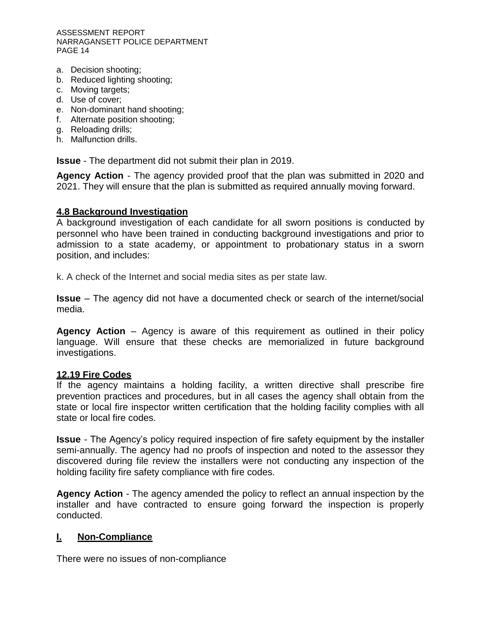- a. Decision shooting;
- b. Reduced lighting shooting;
- c. Moving targets;
- d. Use of cover;
- e. Non-dominant hand shooting;
- f. Alternate position shooting;
- g. Reloading drills;
- h. Malfunction drills.

**Issue** - The department did not submit their plan in 2019.

**Agency Action** - The agency provided proof that the plan was submitted in 2020 and 2021. They will ensure that the plan is submitted as required annually moving forward.

#### **4.8 Background Investigation**

A background investigation of each candidate for all sworn positions is conducted by personnel who have been trained in conducting background investigations and prior to admission to a state academy, or appointment to probationary status in a sworn position, and includes:

k. A check of the Internet and social media sites as per state law.

**Issue** – The agency did not have a documented check or search of the internet/social media.

**Agency Action** – Agency is aware of this requirement as outlined in their policy language. Will ensure that these checks are memorialized in future background investigations.

#### **12.19 Fire Codes**

If the agency maintains a holding facility, a written directive shall prescribe fire prevention practices and procedures, but in all cases the agency shall obtain from the state or local fire inspector written certification that the holding facility complies with all state or local fire codes.

**Issue** - The Agency's policy required inspection of fire safety equipment by the installer semi-annually. The agency had no proofs of inspection and noted to the assessor they discovered during file review the installers were not conducting any inspection of the holding facility fire safety compliance with fire codes.

**Agency Action** - The agency amended the policy to reflect an annual inspection by the installer and have contracted to ensure going forward the inspection is properly conducted.

# **I. Non-Compliance**

There were no issues of non-compliance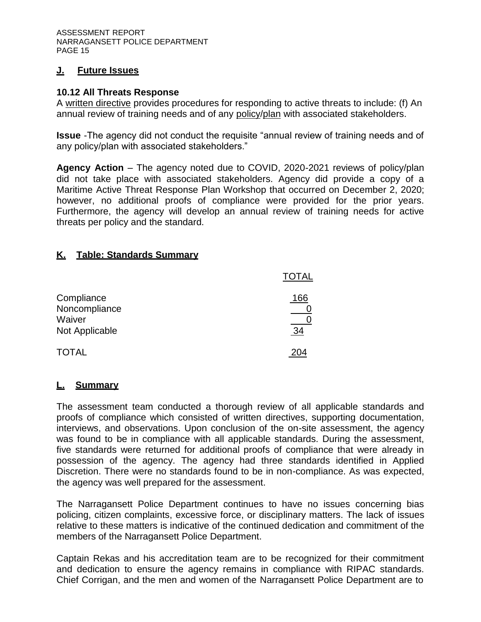# **J. Future Issues**

#### **10.12 All Threats Response**

A written directive provides procedures for responding to active threats to include: (f) An annual review of training needs and of any policy/plan with associated stakeholders.

**Issue** -The agency did not conduct the requisite "annual review of training needs and of any policy/plan with associated stakeholders."

**Agency Action** – The agency noted due to COVID, 2020-2021 reviews of policy/plan did not take place with associated stakeholders. Agency did provide a copy of a Maritime Active Threat Response Plan Workshop that occurred on December 2, 2020; however, no additional proofs of compliance were provided for the prior years. Furthermore, the agency will develop an annual review of training needs for active threats per policy and the standard.

# **K. Table: Standards Summary**

|                                                         | <b>TOTAL</b> |
|---------------------------------------------------------|--------------|
| Compliance<br>Noncompliance<br>Waiver<br>Not Applicable | 166<br>34    |
| <b>TOTAL</b>                                            |              |

# **L. Summary**

The assessment team conducted a thorough review of all applicable standards and proofs of compliance which consisted of written directives, supporting documentation, interviews, and observations. Upon conclusion of the on-site assessment, the agency was found to be in compliance with all applicable standards. During the assessment, five standards were returned for additional proofs of compliance that were already in possession of the agency. The agency had three standards identified in Applied Discretion. There were no standards found to be in non-compliance. As was expected, the agency was well prepared for the assessment.

The Narragansett Police Department continues to have no issues concerning bias policing, citizen complaints, excessive force, or disciplinary matters. The lack of issues relative to these matters is indicative of the continued dedication and commitment of the members of the Narragansett Police Department.

Captain Rekas and his accreditation team are to be recognized for their commitment and dedication to ensure the agency remains in compliance with RIPAC standards. Chief Corrigan, and the men and women of the Narragansett Police Department are to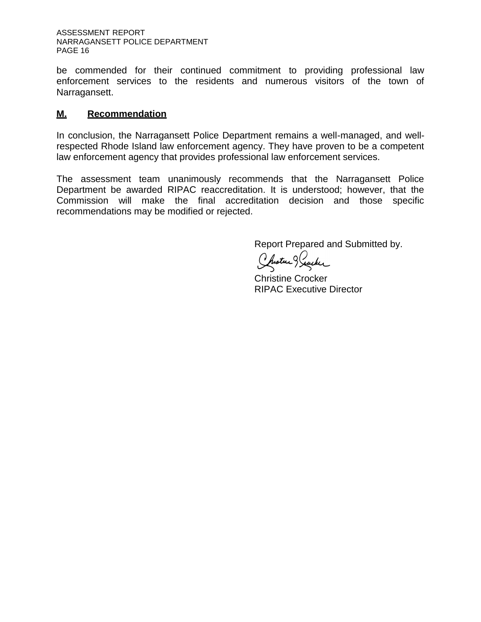be commended for their continued commitment to providing professional law enforcement services to the residents and numerous visitors of the town of Narragansett.

# **M. Recommendation**

In conclusion, the Narragansett Police Department remains a well-managed, and wellrespected Rhode Island law enforcement agency. They have proven to be a competent law enforcement agency that provides professional law enforcement services.

The assessment team unanimously recommends that the Narragansett Police Department be awarded RIPAC reaccreditation. It is understood; however, that the Commission will make the final accreditation decision and those specific recommendations may be modified or rejected.

Report Prepared and Submitted by.

Chistre Reacher

Christine Crocker RIPAC Executive Director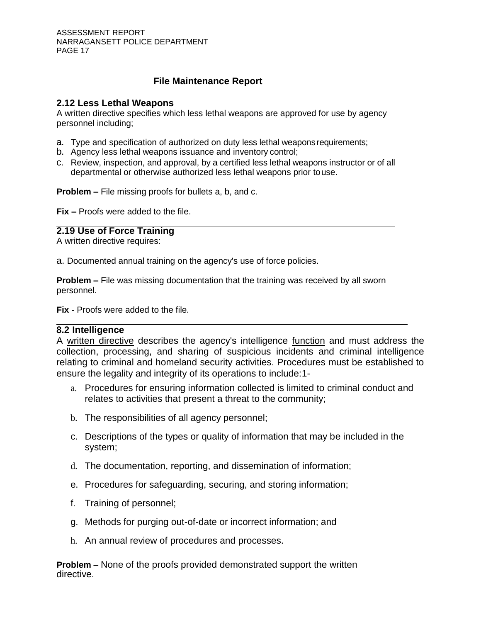# **File Maintenance Report**

#### **2.12 Less Lethal Weapons**

A written directive specifies which less lethal weapons are approved for use by agency personnel including;

- a. Type and specification of authorized on duty less lethal weaponsrequirements;
- b. Agency less lethal weapons issuance and inventory control;
- c. Review, inspection, and approval, by a certified less lethal weapons instructor or of all departmental or otherwise authorized less lethal weapons prior touse.

**Problem –** File missing proofs for bullets a, b, and c.

**Fix –** Proofs were added to the file.

#### **2.19 Use of Force Training**

A written directive requires:

a. Documented annual training on the agency's use of force policies.

**Problem –** File was missing documentation that the training was received by all sworn personnel.

**Fix -** Proofs were added to the file.

#### **8.2 Intelligence**

A written directive describes the agency's intelligence function and must address the collection, processing, and sharing of suspicious incidents and criminal intelligence relating to criminal and homeland security activities. Procedures must be established to ensure the legality and integrity of its operations to include[:1-](https://powerdms.com/Standards/)

- a. Procedures for ensuring information collected is limited to criminal conduct and relates to activities that present a threat to the community;
- b. The responsibilities of all agency personnel;
- c. Descriptions of the types or quality of information that may be included in the system;
- d. The documentation, reporting, and dissemination of information;
- e. Procedures for safeguarding, securing, and storing information;
- f. Training of personnel;
- g. Methods for purging out-of-date or incorrect information; and
- h. An annual review of procedures and processes.

**Problem –** None of the proofs provided demonstrated support the written directive.